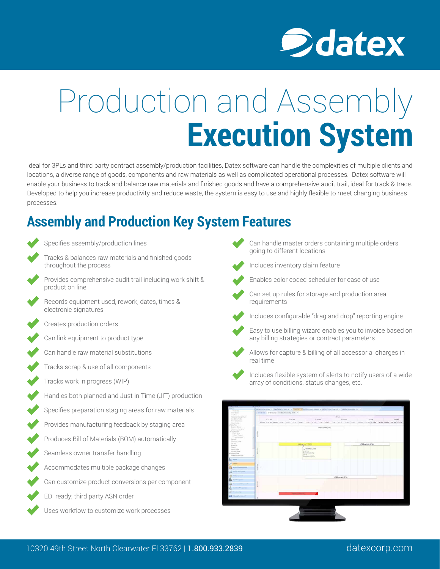

# Production and Assembly **Execution System**

Ideal for 3PLs and third party contract assembly/production facilities, Datex software can handle the complexities of multiple clients and locations, a diverse range of goods, components and raw materials as well as complicated operational processes. Datex software will enable your business to track and balance raw materials and finished goods and have a comprehensive audit trail, ideal for track & trace. Developed to help you increase productivity and reduce waste, the system is easy to use and highly flexible to meet changing business processes.

## **Assembly and Production Key System Features**

Tracks & balances raw materials and finished goods throughout the process Provides comprehensive audit trail including work shift & production line Records equipment used, rework, dates, times & electronic signatures Creates production orders Can link equipment to product type Can handle raw material substitutions Tracks scrap & use of all components Tracks work in progress (WIP) Handles both planned and Just in Time (JIT) production Specifies preparation staging areas for raw materials Provides manufacturing feedback by staging area Produces Bill of Materials (BOM) automatically Seamless owner transfer handling Accommodates multiple package changes Can customize product conversions per component EDI ready; third party ASN order Uses workflow to customize work processes

Specifies assembly/production lines

- Can handle master orders containing multiple orders going to different locations
- Includes inventory claim feature



- Enables color coded scheduler for ease of use
- Can set up rules for storage and production area requirements
- Includes configurable "drag and drop" reporting engine
	-
	- Easy to use billing wizard enables you to invoice based on any billing strategies or contract parameters



- Allows for capture & billing of all accessorial charges in real time
- 
- Includes flexible system of alerts to notify users of a wide array of conditions, status changes, etc.